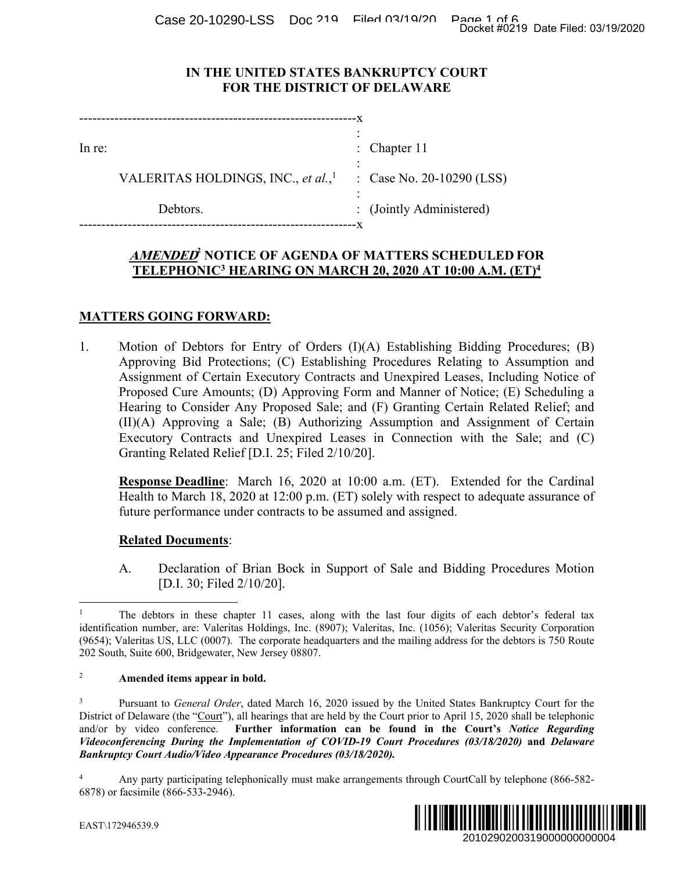Case 20-10290-LSS Doc 219 Filed 03/19/20 Page 1 of 6<br>Docket #0219 Date Filed: 03/19/2020

### **IN THE UNITED STATES BANKRUPTCY COURT FOR THE DISTRICT OF DELAWARE**

| In re: |                                                | : Chapter $11$            |
|--------|------------------------------------------------|---------------------------|
|        | VALERITAS HOLDINGS, INC., et al., <sup>1</sup> | : Case No. 20-10290 (LSS) |
|        | Debtors.                                       | : (Jointly Administered)  |
|        |                                                |                           |

# **AMENDED<sup>2</sup> NOTICE OF AGENDA OF MATTERS SCHEDULED FOR TELEPHONIC3 HEARING ON MARCH 20, 2020 AT 10:00 A.M. (ET)4**

# **MATTERS GOING FORWARD:**

1. Motion of Debtors for Entry of Orders (I)(A) Establishing Bidding Procedures; (B) Approving Bid Protections; (C) Establishing Procedures Relating to Assumption and Assignment of Certain Executory Contracts and Unexpired Leases, Including Notice of Proposed Cure Amounts; (D) Approving Form and Manner of Notice; (E) Scheduling a Hearing to Consider Any Proposed Sale; and (F) Granting Certain Related Relief; and (II)(A) Approving a Sale; (B) Authorizing Assumption and Assignment of Certain Executory Contracts and Unexpired Leases in Connection with the Sale; and (C) Granting Related Relief [D.I. 25; Filed 2/10/20]. Docket #0219 Date Filed: 03/19/2020<br>
2010 (LSS)<br>
2010 (LSS)<br>
2010 (LSS)<br>
2010 **A.M. (ET)<sup>4</sup>**<br>
2010 **A.M. (ET)<sup>4</sup>**<br>
2010 A.Saumption and<br>
2010 A.Saumption and<br>
2010 Assumption and<br>
2010 Notice; (E) Scheduling a<br>
2010 and R

**Response Deadline**: March 16, 2020 at 10:00 a.m. (ET). Extended for the Cardinal Health to March 18, 2020 at 12:00 p.m. (ET) solely with respect to adequate assurance of future performance under contracts to be assumed and assigned.

#### **Related Documents**:

A. Declaration of Brian Bock in Support of Sale and Bidding Procedures Motion [D.I. 30; Filed 2/10/20].

#### <sup>2</sup> **Amended items appear in bold.**

3 Pursuant to *General Order*, dated March 16, 2020 issued by the United States Bankruptcy Court for the District of Delaware (the "Court"), all hearings that are held by the Court prior to April 15, 2020 shall be telephonic and/or by video conference. **Further information can be found in the Court's** *Notice Regarding Videoconferencing During the Implementation of COVID-19 Court Procedures (03/18/2020)* **and** *Delaware Bankruptcy Court Audio/Video Appearance Procedures (03/18/2020).*

<sup>4</sup> Any party participating telephonically must make arrangements through CourtCall by telephone (866-582- 6878) or facsimile (866-533-2946).



EAST\172946539.9

 $\overline{a}$ 1 The debtors in these chapter 11 cases, along with the last four digits of each debtor's federal tax identification number, are: Valeritas Holdings, Inc. (8907); Valeritas, Inc. (1056); Valeritas Security Corporation (9654); Valeritas US, LLC (0007). The corporate headquarters and the mailing address for the debtors is 750 Route 202 South, Suite 600, Bridgewater, New Jersey 08807.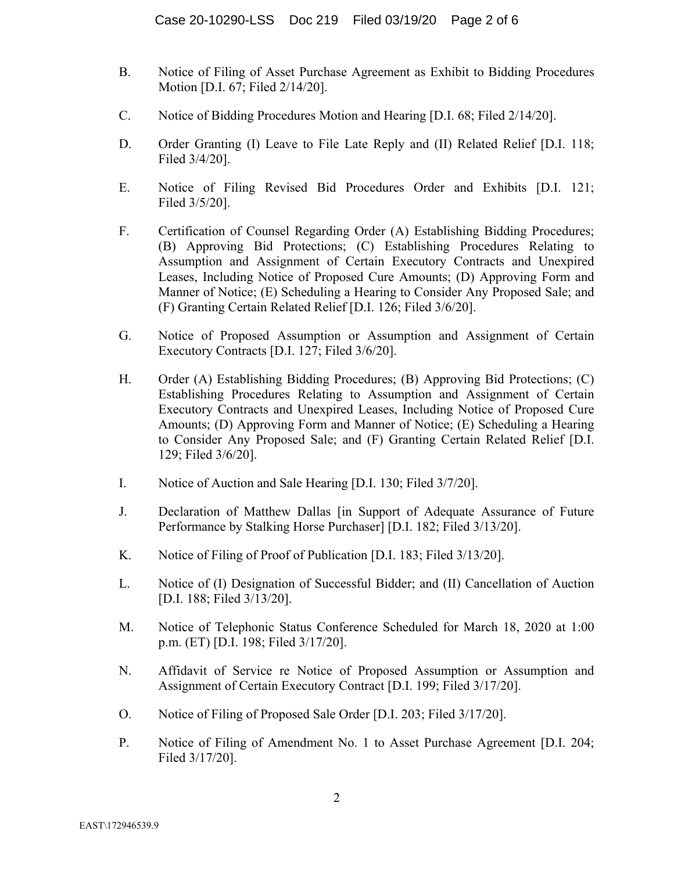- B. Notice of Filing of Asset Purchase Agreement as Exhibit to Bidding Procedures Motion [D.I. 67; Filed 2/14/20].
- C. Notice of Bidding Procedures Motion and Hearing [D.I. 68; Filed 2/14/20].
- D. Order Granting (I) Leave to File Late Reply and (II) Related Relief [D.I. 118; Filed 3/4/20].
- E. Notice of Filing Revised Bid Procedures Order and Exhibits [D.I. 121; Filed 3/5/20].
- F. Certification of Counsel Regarding Order (A) Establishing Bidding Procedures; (B) Approving Bid Protections; (C) Establishing Procedures Relating to Assumption and Assignment of Certain Executory Contracts and Unexpired Leases, Including Notice of Proposed Cure Amounts; (D) Approving Form and Manner of Notice; (E) Scheduling a Hearing to Consider Any Proposed Sale; and (F) Granting Certain Related Relief [D.I. 126; Filed 3/6/20].
- G. Notice of Proposed Assumption or Assumption and Assignment of Certain Executory Contracts [D.I. 127; Filed 3/6/20].
- H. Order (A) Establishing Bidding Procedures; (B) Approving Bid Protections; (C) Establishing Procedures Relating to Assumption and Assignment of Certain Executory Contracts and Unexpired Leases, Including Notice of Proposed Cure Amounts; (D) Approving Form and Manner of Notice; (E) Scheduling a Hearing to Consider Any Proposed Sale; and (F) Granting Certain Related Relief [D.I. 129; Filed 3/6/20].
- I. Notice of Auction and Sale Hearing [D.I. 130; Filed 3/7/20].
- J. Declaration of Matthew Dallas [in Support of Adequate Assurance of Future Performance by Stalking Horse Purchaser] [D.I. 182; Filed 3/13/20].
- K. Notice of Filing of Proof of Publication [D.I. 183; Filed 3/13/20].
- L. Notice of (I) Designation of Successful Bidder; and (II) Cancellation of Auction [D.I. 188; Filed 3/13/20].
- M. Notice of Telephonic Status Conference Scheduled for March 18, 2020 at 1:00 p.m. (ET) [D.I. 198; Filed 3/17/20].
- N. Affidavit of Service re Notice of Proposed Assumption or Assumption and Assignment of Certain Executory Contract [D.I. 199; Filed 3/17/20].
- O. Notice of Filing of Proposed Sale Order [D.I. 203; Filed 3/17/20].
- P. Notice of Filing of Amendment No. 1 to Asset Purchase Agreement [D.I. 204; Filed 3/17/20].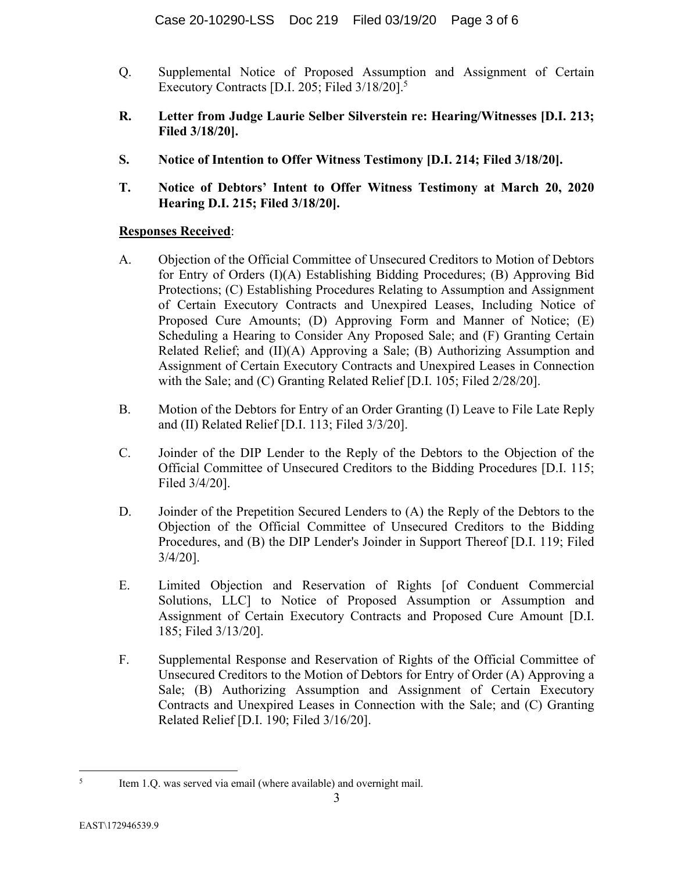- Q. Supplemental Notice of Proposed Assumption and Assignment of Certain Executory Contracts [D.I. 205; Filed 3/18/20].5
- **R. Letter from Judge Laurie Selber Silverstein re: Hearing/Witnesses [D.I. 213; Filed 3/18/20].**
- **S. Notice of Intention to Offer Witness Testimony [D.I. 214; Filed 3/18/20].**
- **T. Notice of Debtors' Intent to Offer Witness Testimony at March 20, 2020 Hearing D.I. 215; Filed 3/18/20].**

## **Responses Received**:

- A. Objection of the Official Committee of Unsecured Creditors to Motion of Debtors for Entry of Orders (I)(A) Establishing Bidding Procedures; (B) Approving Bid Protections; (C) Establishing Procedures Relating to Assumption and Assignment of Certain Executory Contracts and Unexpired Leases, Including Notice of Proposed Cure Amounts; (D) Approving Form and Manner of Notice; (E) Scheduling a Hearing to Consider Any Proposed Sale; and (F) Granting Certain Related Relief; and (II)(A) Approving a Sale; (B) Authorizing Assumption and Assignment of Certain Executory Contracts and Unexpired Leases in Connection with the Sale; and (C) Granting Related Relief [D.I. 105; Filed 2/28/20].
- B. Motion of the Debtors for Entry of an Order Granting (I) Leave to File Late Reply and (II) Related Relief [D.I. 113; Filed 3/3/20].
- C. Joinder of the DIP Lender to the Reply of the Debtors to the Objection of the Official Committee of Unsecured Creditors to the Bidding Procedures [D.I. 115; Filed 3/4/20].
- D. Joinder of the Prepetition Secured Lenders to (A) the Reply of the Debtors to the Objection of the Official Committee of Unsecured Creditors to the Bidding Procedures, and (B) the DIP Lender's Joinder in Support Thereof [D.I. 119; Filed 3/4/20].
- E. Limited Objection and Reservation of Rights [of Conduent Commercial Solutions, LLC] to Notice of Proposed Assumption or Assumption and Assignment of Certain Executory Contracts and Proposed Cure Amount [D.I. 185; Filed 3/13/20].
- F. Supplemental Response and Reservation of Rights of the Official Committee of Unsecured Creditors to the Motion of Debtors for Entry of Order (A) Approving a Sale; (B) Authorizing Assumption and Assignment of Certain Executory Contracts and Unexpired Leases in Connection with the Sale; and (C) Granting Related Relief [D.I. 190; Filed 3/16/20].

 $\frac{1}{5}$ Item 1.Q. was served via email (where available) and overnight mail.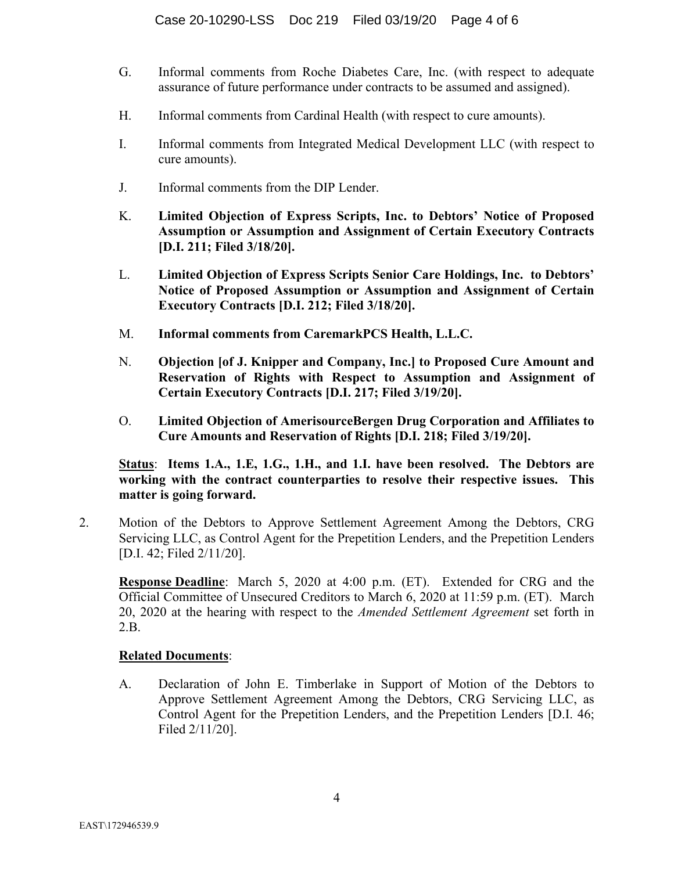- G. Informal comments from Roche Diabetes Care, Inc. (with respect to adequate assurance of future performance under contracts to be assumed and assigned).
- H. Informal comments from Cardinal Health (with respect to cure amounts).
- I. Informal comments from Integrated Medical Development LLC (with respect to cure amounts).
- J. Informal comments from the DIP Lender.
- K. **Limited Objection of Express Scripts, Inc. to Debtors' Notice of Proposed Assumption or Assumption and Assignment of Certain Executory Contracts [D.I. 211; Filed 3/18/20].**
- L. **Limited Objection of Express Scripts Senior Care Holdings, Inc. to Debtors' Notice of Proposed Assumption or Assumption and Assignment of Certain Executory Contracts [D.I. 212; Filed 3/18/20].**
- M. **Informal comments from CaremarkPCS Health, L.L.C.**
- N. **Objection [of J. Knipper and Company, Inc.] to Proposed Cure Amount and Reservation of Rights with Respect to Assumption and Assignment of Certain Executory Contracts [D.I. 217; Filed 3/19/20].**
- O. **Limited Objection of AmerisourceBergen Drug Corporation and Affiliates to Cure Amounts and Reservation of Rights [D.I. 218; Filed 3/19/20].**

**Status**: **Items 1.A., 1.E, 1.G., 1.H., and 1.I. have been resolved. The Debtors are working with the contract counterparties to resolve their respective issues. This matter is going forward.** 

2. Motion of the Debtors to Approve Settlement Agreement Among the Debtors, CRG Servicing LLC, as Control Agent for the Prepetition Lenders, and the Prepetition Lenders [D.I. 42; Filed 2/11/20].

**Response Deadline**: March 5, 2020 at 4:00 p.m. (ET). Extended for CRG and the Official Committee of Unsecured Creditors to March 6, 2020 at 11:59 p.m. (ET). March 20, 2020 at the hearing with respect to the *Amended Settlement Agreement* set forth in 2.B.

#### **Related Documents**:

A. Declaration of John E. Timberlake in Support of Motion of the Debtors to Approve Settlement Agreement Among the Debtors, CRG Servicing LLC, as Control Agent for the Prepetition Lenders, and the Prepetition Lenders [D.I. 46; Filed 2/11/20].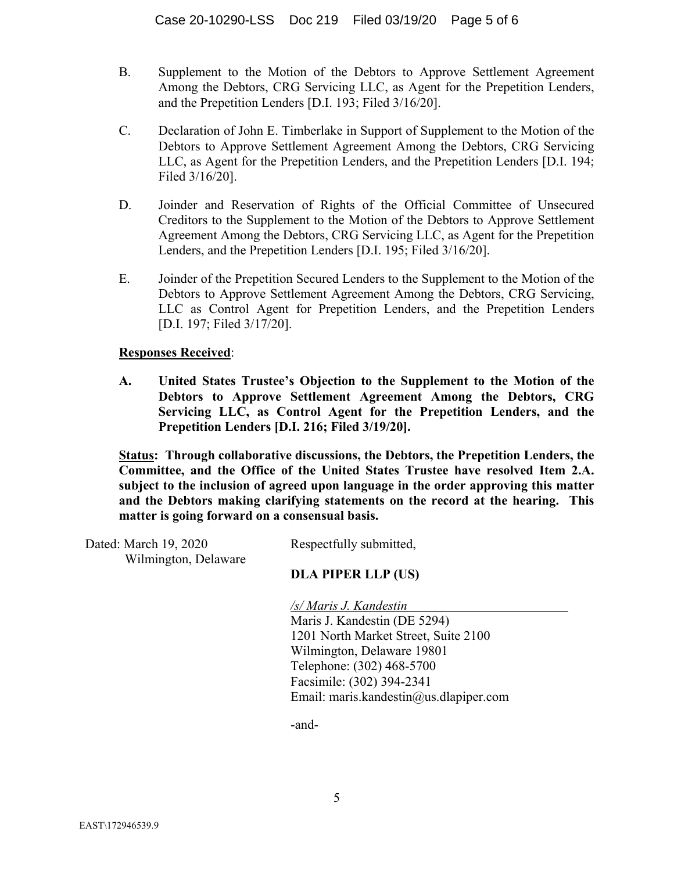- B. Supplement to the Motion of the Debtors to Approve Settlement Agreement Among the Debtors, CRG Servicing LLC, as Agent for the Prepetition Lenders, and the Prepetition Lenders [D.I. 193; Filed 3/16/20].
- C. Declaration of John E. Timberlake in Support of Supplement to the Motion of the Debtors to Approve Settlement Agreement Among the Debtors, CRG Servicing LLC, as Agent for the Prepetition Lenders, and the Prepetition Lenders [D.I. 194; Filed 3/16/20].
- D. Joinder and Reservation of Rights of the Official Committee of Unsecured Creditors to the Supplement to the Motion of the Debtors to Approve Settlement Agreement Among the Debtors, CRG Servicing LLC, as Agent for the Prepetition Lenders, and the Prepetition Lenders [D.I. 195; Filed 3/16/20].
- E. Joinder of the Prepetition Secured Lenders to the Supplement to the Motion of the Debtors to Approve Settlement Agreement Among the Debtors, CRG Servicing, LLC as Control Agent for Prepetition Lenders, and the Prepetition Lenders [D.I. 197; Filed 3/17/20].

### **Responses Received**:

**A. United States Trustee's Objection to the Supplement to the Motion of the Debtors to Approve Settlement Agreement Among the Debtors, CRG Servicing LLC, as Control Agent for the Prepetition Lenders, and the Prepetition Lenders [D.I. 216; Filed 3/19/20].** 

**Status: Through collaborative discussions, the Debtors, the Prepetition Lenders, the Committee, and the Office of the United States Trustee have resolved Item 2.A. subject to the inclusion of agreed upon language in the order approving this matter and the Debtors making clarifying statements on the record at the hearing. This matter is going forward on a consensual basis.** 

Dated: March 19, 2020 Wilmington, Delaware Respectfully submitted,

## **DLA PIPER LLP (US)**

*/s/ Maris J. Kandestin* 

Maris J. Kandestin (DE 5294) 1201 North Market Street, Suite 2100 Wilmington, Delaware 19801 Telephone: (302) 468-5700 Facsimile: (302) 394-2341 Email: maris.kandestin@us.dlapiper.com

-and-